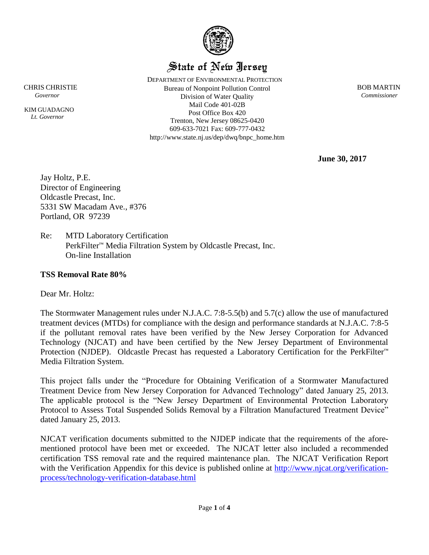

## State of New Jersey

DEPARTMENT OF ENVIRONMENTAL PROTECTION CHRIS CHRISTIE BOB MARTIN *Governor Commissioner*  Division of Water Quality Mail Code 401-02B Post Office Box 420 Trenton, New Jersey 08625-0420 609-633-7021 Fax: 609-777-0432 http://www.state.nj.us/dep/dwq/bnpc\_home.htm

**June 30, 2017**

Jay Holtz, P.E. Director of Engineering Oldcastle Precast, Inc. 5331 SW Macadam Ave., #376 Portland, OR 97239

Re: MTD Laboratory Certification PerkFilter<sup>™</sup> Media Filtration System by Oldcastle Precast, Inc. On-line Installation

## **TSS Removal Rate 80%**

Dear Mr. Holtz:

The Stormwater Management rules under N.J.A.C. 7:8-5.5(b) and 5.7(c) allow the use of manufactured treatment devices (MTDs) for compliance with the design and performance standards at N.J.A.C. 7:8-5 if the pollutant removal rates have been verified by the New Jersey Corporation for Advanced Technology (NJCAT) and have been certified by the New Jersey Department of Environmental Protection (NJDEP). Oldcastle Precast has requested a Laboratory Certification for the PerkFilter™ Media Filtration System.

This project falls under the "Procedure for Obtaining Verification of a Stormwater Manufactured Treatment Device from New Jersey Corporation for Advanced Technology" dated January 25, 2013. The applicable protocol is the "New Jersey Department of Environmental Protection Laboratory Protocol to Assess Total Suspended Solids Removal by a Filtration Manufactured Treatment Device" dated January 25, 2013.

NJCAT verification documents submitted to the NJDEP indicate that the requirements of the aforementioned protocol have been met or exceeded. The NJCAT letter also included a recommended certification TSS removal rate and the required maintenance plan. The NJCAT Verification Report with the Verification Appendix for this device is published online at [http://www.njcat.org/verification](http://www.njcat.org/verification-process/technology-verification-database.html)[process/technology-verification-database.html](http://www.njcat.org/verification-process/technology-verification-database.html) 

KIM GUADAGNO  *Lt. Governor*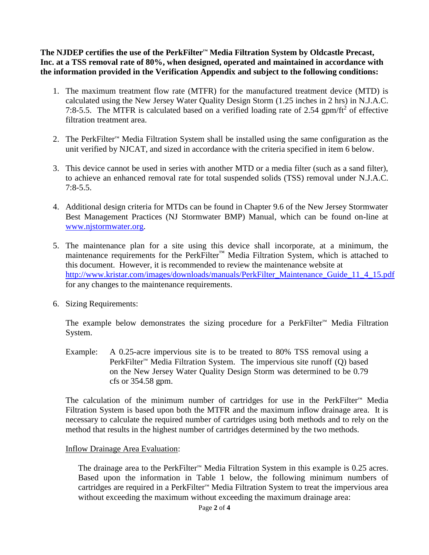**The NJDEP certifies the use of the PerkFilter™ Media Filtration System by Oldcastle Precast, Inc. at a TSS removal rate of 80%, when designed, operated and maintained in accordance with the information provided in the Verification Appendix and subject to the following conditions:**

- 1. The maximum treatment flow rate (MTFR) for the manufactured treatment device (MTD) is calculated using the New Jersey Water Quality Design Storm (1.25 inches in 2 hrs) in N.J.A.C. 7:8-5.5. The MTFR is calculated based on a verified loading rate of 2.54 gpm/ft<sup>2</sup> of effective filtration treatment area.
- 2. The PerkFilter™ Media Filtration System shall be installed using the same configuration as the unit verified by NJCAT, and sized in accordance with the criteria specified in item 6 below.
- 3. This device cannot be used in series with another MTD or a media filter (such as a sand filter), to achieve an enhanced removal rate for total suspended solids (TSS) removal under N.J.A.C.  $7:8-5.5.$
- 4. Additional design criteria for MTDs can be found in Chapter 9.6 of the New Jersey Stormwater Best Management Practices (NJ Stormwater BMP) Manual, which can be found on-line at [www.njstormwater.org.](http://www.njstormwater.org/)
- 5. The maintenance plan for a site using this device shall incorporate, at a minimum, the maintenance requirements for the PerkFilter™ Media Filtration System, which is attached to this document. However, it is recommended to review the maintenance website at [http://www.kristar.com/images/downloads/manuals/PerkFilter\\_Maintenance\\_Guide\\_11\\_4\\_15.pdf](http://www.kristar.com/images/downloads/manuals/PerkFilter_Maintenance_Guide_11_4_15.pdf) for any changes to the maintenance requirements.
- 6. Sizing Requirements:

The example below demonstrates the sizing procedure for a PerkFilter™ Media Filtration System.

Example: A 0.25-acre impervious site is to be treated to 80% TSS removal using a PerkFilter™ Media Filtration System. The impervious site runoff (Q) based on the New Jersey Water Quality Design Storm was determined to be 0.79 cfs or 354.58 gpm.

The calculation of the minimum number of cartridges for use in the PerkFilter™ Media Filtration System is based upon both the MTFR and the maximum inflow drainage area. It is necessary to calculate the required number of cartridges using both methods and to rely on the method that results in the highest number of cartridges determined by the two methods.

## Inflow Drainage Area Evaluation:

The drainage area to the PerkFilter™ Media Filtration System in this example is 0.25 acres. Based upon the information in Table 1 below, the following minimum numbers of cartridges are required in a PerkFilter™ Media Filtration System to treat the impervious area without exceeding the maximum without exceeding the maximum drainage area: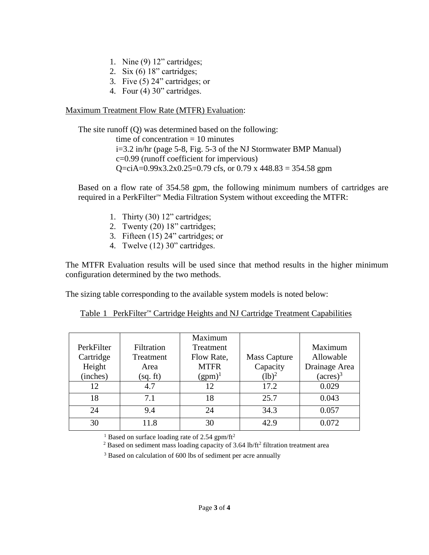- 1. Nine (9) 12" cartridges;
- 2. Six (6) 18" cartridges;
- 3. Five (5) 24" cartridges; or
- 4. Four (4) 30" cartridges.

## Maximum Treatment Flow Rate (MTFR) Evaluation:

The site runoff (Q) was determined based on the following: time of concentration  $= 10$  minutes i=3.2 in/hr (page 5-8, Fig. 5-3 of the NJ Stormwater BMP Manual) c=0.99 (runoff coefficient for impervious)  $Q=ciA=0.99x3.2x0.25=0.79$  cfs, or 0.79 x 448.83 = 354.58 gpm

Based on a flow rate of 354.58 gpm, the following minimum numbers of cartridges are required in a PerkFilter™ Media Filtration System without exceeding the MTFR:

- 1. Thirty (30) 12" cartridges;
- 2. Twenty (20) 18" cartridges;
- 3. Fifteen (15) 24" cartridges; or
- 4. Twelve (12) 30" cartridges.

The MTFR Evaluation results will be used since that method results in the higher minimum configuration determined by the two methods.

The sizing table corresponding to the available system models is noted below:

|            |            | Maximum     |                     |                    |
|------------|------------|-------------|---------------------|--------------------|
| PerkFilter | Filtration | Treatment   |                     | Maximum            |
| Cartridge  | Treatment  | Flow Rate,  | <b>Mass Capture</b> | Allowable          |
| Height     | Area       | <b>MTFR</b> | Capacity            | Drainage Area      |
| (inches)   | (sq. ft)   | $(gpm)^1$   | $(lb)^2$            | $(\text{acres})^3$ |
| 12         | 4.7        | 12          | 17.2                | 0.029              |
| 18         | 7.1        | 18          | 25.7                | 0.043              |
| 24         | 9.4        | 24          | 34.3                | 0.057              |
| 30         | 11.8       | 30          | 42.9                | 0.072              |

Table 1 PerkFilter™ Cartridge Heights and NJ Cartridge Treatment Capabilities

<sup>1</sup> Based on surface loading rate of 2.54 gpm/ft<sup>2</sup>

<sup>2</sup> Based on sediment mass loading capacity of 3.64 lb/ft<sup>2</sup> filtration treatment area

<sup>3</sup> Based on calculation of 600 lbs of sediment per acre annually